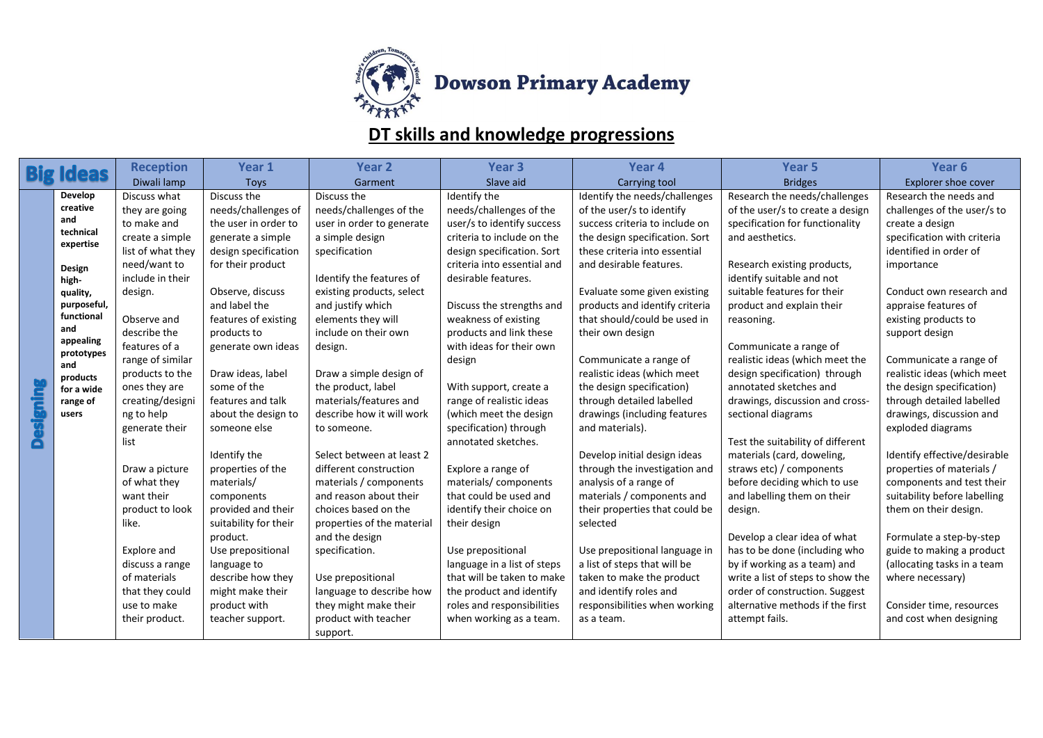

## **DT skills and knowledge progressions**

|                 | <b>Ideas</b>              | <b>Reception</b>                 | Year 1                | Year <sub>2</sub>                             | Year <sub>3</sub>           | Year 4                                                | Year <sub>5</sub>                                                | Year 6                                                   |
|-----------------|---------------------------|----------------------------------|-----------------------|-----------------------------------------------|-----------------------------|-------------------------------------------------------|------------------------------------------------------------------|----------------------------------------------------------|
|                 |                           | Diwali lamp                      | <b>Toys</b>           | Garment                                       | Slave aid                   | Carrying tool                                         | <b>Bridges</b>                                                   | Explorer shoe cover                                      |
|                 | Develop                   | Discuss what                     | Discuss the           | Discuss the                                   | Identify the                | Identify the needs/challenges                         | Research the needs/challenges                                    | Research the needs and                                   |
|                 | creative                  | they are going                   | needs/challenges of   | needs/challenges of the                       | needs/challenges of the     | of the user/s to identify                             | of the user/s to create a design                                 | challenges of the user/s to                              |
|                 | and<br>technical          | to make and                      | the user in order to  | user in order to generate                     | user/s to identify success  | success criteria to include on                        | specification for functionality                                  | create a design                                          |
|                 | expertise                 | create a simple                  | generate a simple     | a simple design                               | criteria to include on the  | the design specification. Sort                        | and aesthetics.                                                  | specification with criteria                              |
|                 |                           | list of what they                | design specification  | specification                                 | design specification. Sort  | these criteria into essential                         |                                                                  | identified in order of                                   |
|                 | Design                    | need/want to                     | for their product     |                                               | criteria into essential and | and desirable features.                               | Research existing products,                                      | importance                                               |
|                 | high-                     | include in their                 |                       | Identify the features of                      | desirable features.         |                                                       | identify suitable and not                                        |                                                          |
|                 | quality,                  | design.                          | Observe, discuss      | existing products, select                     |                             | Evaluate some given existing                          | suitable features for their                                      | Conduct own research and                                 |
|                 | purposeful,<br>functional |                                  | and label the         | and justify which                             | Discuss the strengths and   | products and identify criteria                        | product and explain their                                        | appraise features of                                     |
|                 | and                       | Observe and                      | features of existing  | elements they will                            | weakness of existing        | that should/could be used in                          | reasoning.                                                       | existing products to                                     |
|                 | appealing                 | describe the                     | products to           | include on their own                          | products and link these     | their own design                                      |                                                                  | support design                                           |
|                 | prototypes                | features of a                    | generate own ideas    | design.                                       | with ideas for their own    |                                                       | Communicate a range of                                           |                                                          |
|                 | and                       | range of similar                 | Draw ideas, label     |                                               | design                      | Communicate a range of<br>realistic ideas (which meet | realistic ideas (which meet the<br>design specification) through | Communicate a range of                                   |
|                 | products                  | products to the<br>ones they are | some of the           | Draw a simple design of<br>the product, label | With support, create a      | the design specification)                             | annotated sketches and                                           | realistic ideas (which meet<br>the design specification) |
|                 | for a wide                | creating/designi                 | features and talk     | materials/features and                        | range of realistic ideas    | through detailed labelled                             | drawings, discussion and cross-                                  | through detailed labelled                                |
| <b>Designin</b> | range of<br>users         | ng to help                       | about the design to   | describe how it will work                     | (which meet the design      | drawings (including features                          | sectional diagrams                                               | drawings, discussion and                                 |
|                 |                           | generate their                   | someone else          | to someone.                                   | specification) through      | and materials).                                       |                                                                  | exploded diagrams                                        |
|                 |                           | list                             |                       |                                               | annotated sketches.         |                                                       | Test the suitability of different                                |                                                          |
|                 |                           |                                  | Identify the          | Select between at least 2                     |                             | Develop initial design ideas                          | materials (card, doweling,                                       | Identify effective/desirable                             |
|                 |                           | Draw a picture                   | properties of the     | different construction                        | Explore a range of          | through the investigation and                         | straws etc) / components                                         | properties of materials /                                |
|                 |                           | of what they                     | materials/            | materials / components                        | materials/components        | analysis of a range of                                | before deciding which to use                                     | components and test their                                |
|                 |                           | want their                       | components            | and reason about their                        | that could be used and      | materials / components and                            | and labelling them on their                                      | suitability before labelling                             |
|                 |                           | product to look                  | provided and their    | choices based on the                          | identify their choice on    | their properties that could be                        | design.                                                          | them on their design.                                    |
|                 |                           | like.                            | suitability for their | properties of the material                    | their design                | selected                                              |                                                                  |                                                          |
|                 |                           |                                  | product.              | and the design                                |                             |                                                       | Develop a clear idea of what                                     | Formulate a step-by-step                                 |
|                 |                           | Explore and                      | Use prepositional     | specification.                                | Use prepositional           | Use prepositional language in                         | has to be done (including who                                    | guide to making a product                                |
|                 |                           | discuss a range                  | language to           |                                               | language in a list of steps | a list of steps that will be                          | by if working as a team) and                                     | (allocating tasks in a team                              |
|                 |                           | of materials                     | describe how they     | Use prepositional                             | that will be taken to make  | taken to make the product                             | write a list of steps to show the                                | where necessary)                                         |
|                 |                           | that they could                  | might make their      | language to describe how                      | the product and identify    | and identify roles and                                | order of construction. Suggest                                   |                                                          |
|                 |                           | use to make                      | product with          | they might make their                         | roles and responsibilities  | responsibilities when working                         | alternative methods if the first                                 | Consider time, resources                                 |
|                 |                           | their product.                   | teacher support.      | product with teacher                          | when working as a team.     | as a team.                                            | attempt fails.                                                   | and cost when designing                                  |
|                 |                           |                                  |                       | support.                                      |                             |                                                       |                                                                  |                                                          |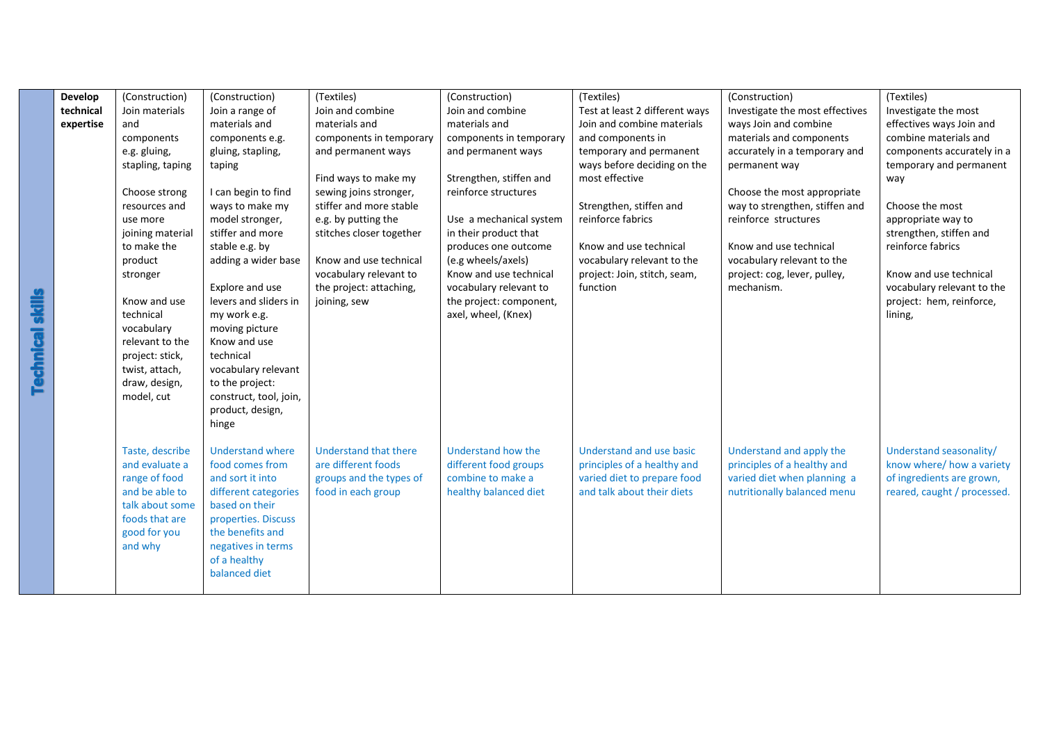|                         | <b>Develop</b> | (Construction)   | (Construction)          | (Textiles)               | (Construction)          | (Textiles)                     | (Construction)                  | (Textiles)                  |
|-------------------------|----------------|------------------|-------------------------|--------------------------|-------------------------|--------------------------------|---------------------------------|-----------------------------|
|                         | technical      | Join materials   | Join a range of         | Join and combine         | Join and combine        | Test at least 2 different ways | Investigate the most effectives | Investigate the most        |
|                         | expertise      | and              | materials and           | materials and            | materials and           | Join and combine materials     | ways Join and combine           | effectives ways Join and    |
|                         |                | components       | components e.g.         | components in temporary  | components in temporary | and components in              | materials and components        | combine materials and       |
|                         |                | e.g. gluing,     | gluing, stapling,       | and permanent ways       | and permanent ways      | temporary and permanent        | accurately in a temporary and   | components accurately in a  |
|                         |                | stapling, taping | taping                  |                          |                         | ways before deciding on the    | permanent way                   | temporary and permanent     |
|                         |                |                  |                         | Find ways to make my     | Strengthen, stiffen and | most effective                 |                                 | way                         |
|                         |                | Choose strong    | I can begin to find     | sewing joins stronger,   | reinforce structures    |                                | Choose the most appropriate     |                             |
|                         |                | resources and    | ways to make my         | stiffer and more stable  |                         | Strengthen, stiffen and        | way to strengthen, stiffen and  | Choose the most             |
|                         |                | use more         | model stronger,         | e.g. by putting the      | Use a mechanical system | reinforce fabrics              | reinforce structures            | appropriate way to          |
|                         |                | joining material | stiffer and more        | stitches closer together | in their product that   |                                |                                 | strengthen, stiffen and     |
|                         |                | to make the      | stable e.g. by          |                          | produces one outcome    | Know and use technical         | Know and use technical          | reinforce fabrics           |
|                         |                | product          | adding a wider base     | Know and use technical   | (e.g wheels/axels)      | vocabulary relevant to the     | vocabulary relevant to the      |                             |
|                         |                | stronger         |                         | vocabulary relevant to   | Know and use technical  | project: Join, stitch, seam,   | project: cog, lever, pulley,    | Know and use technical      |
|                         |                |                  | Explore and use         | the project: attaching,  | vocabulary relevant to  | function                       | mechanism.                      | vocabulary relevant to the  |
|                         |                | Know and use     | levers and sliders in   | joining, sew             | the project: component, |                                |                                 | project: hem, reinforce,    |
|                         |                | technical        | my work e.g.            |                          | axel, wheel, (Knex)     |                                |                                 | lining,                     |
|                         |                | vocabulary       | moving picture          |                          |                         |                                |                                 |                             |
| <b>Technical skills</b> |                | relevant to the  | Know and use            |                          |                         |                                |                                 |                             |
|                         |                | project: stick,  | technical               |                          |                         |                                |                                 |                             |
|                         |                | twist, attach,   | vocabulary relevant     |                          |                         |                                |                                 |                             |
|                         |                | draw, design,    | to the project:         |                          |                         |                                |                                 |                             |
|                         |                | model, cut       | construct, tool, join,  |                          |                         |                                |                                 |                             |
|                         |                |                  | product, design,        |                          |                         |                                |                                 |                             |
|                         |                |                  | hinge                   |                          |                         |                                |                                 |                             |
|                         |                | Taste, describe  | <b>Understand where</b> | Understand that there    | Understand how the      | Understand and use basic       | Understand and apply the        | Understand seasonality/     |
|                         |                | and evaluate a   | food comes from         | are different foods      | different food groups   | principles of a healthy and    | principles of a healthy and     | know where/ how a variety   |
|                         |                | range of food    | and sort it into        | groups and the types of  | combine to make a       | varied diet to prepare food    | varied diet when planning a     | of ingredients are grown,   |
|                         |                | and be able to   | different categories    | food in each group       | healthy balanced diet   | and talk about their diets     | nutritionally balanced menu     | reared, caught / processed. |
|                         |                | talk about some  | based on their          |                          |                         |                                |                                 |                             |
|                         |                | foods that are   | properties. Discuss     |                          |                         |                                |                                 |                             |
|                         |                | good for you     | the benefits and        |                          |                         |                                |                                 |                             |
|                         |                | and why          | negatives in terms      |                          |                         |                                |                                 |                             |
|                         |                |                  | of a healthy            |                          |                         |                                |                                 |                             |
|                         |                |                  | balanced diet           |                          |                         |                                |                                 |                             |
|                         |                |                  |                         |                          |                         |                                |                                 |                             |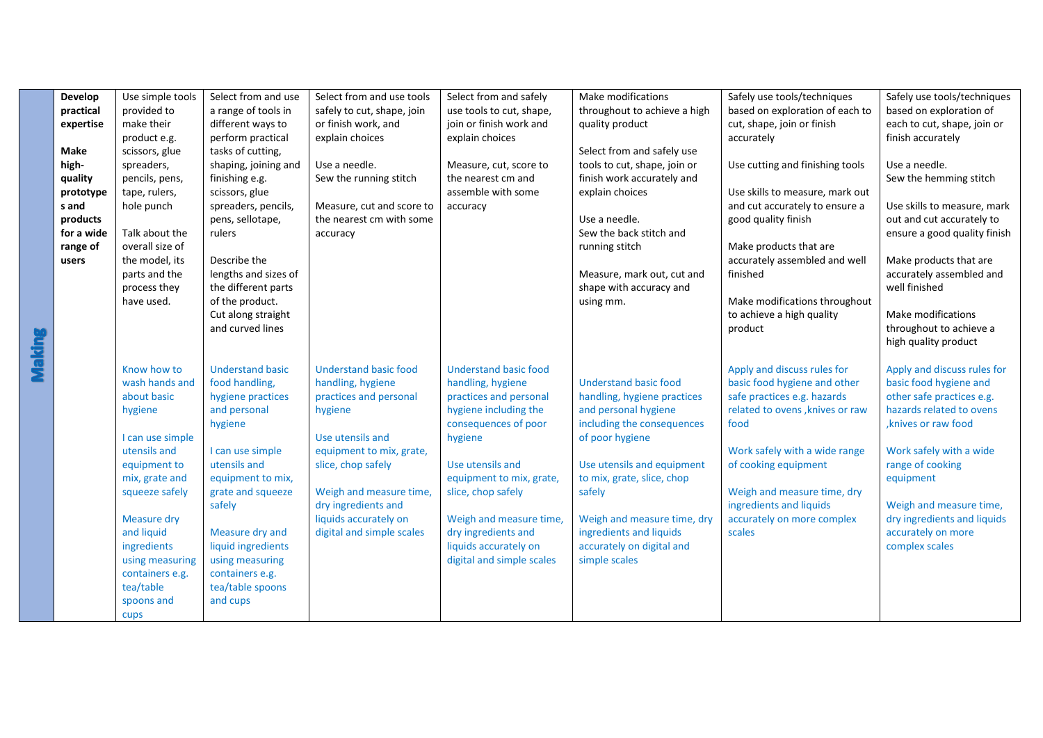| Develop       | Use simple tools                                                                                                                                                                                                                                                     | Select from and use                                                                                                                                                                                                                                                                              | Select from and use tools                                                                                                                                                                                                                                            | Select from and safely                                                                                                                                                                                                                                                                                                | Make modifications                                                                                                                                                                                                                                                                                                 | Safely use tools/techniques                                                                                                                                                                                                                                                                      | Safely use tools/techniques                                                                                                                                                                                                                                                                          |
|---------------|----------------------------------------------------------------------------------------------------------------------------------------------------------------------------------------------------------------------------------------------------------------------|--------------------------------------------------------------------------------------------------------------------------------------------------------------------------------------------------------------------------------------------------------------------------------------------------|----------------------------------------------------------------------------------------------------------------------------------------------------------------------------------------------------------------------------------------------------------------------|-----------------------------------------------------------------------------------------------------------------------------------------------------------------------------------------------------------------------------------------------------------------------------------------------------------------------|--------------------------------------------------------------------------------------------------------------------------------------------------------------------------------------------------------------------------------------------------------------------------------------------------------------------|--------------------------------------------------------------------------------------------------------------------------------------------------------------------------------------------------------------------------------------------------------------------------------------------------|------------------------------------------------------------------------------------------------------------------------------------------------------------------------------------------------------------------------------------------------------------------------------------------------------|
| practical     | provided to                                                                                                                                                                                                                                                          | a range of tools in                                                                                                                                                                                                                                                                              | safely to cut, shape, join                                                                                                                                                                                                                                           | use tools to cut, shape,                                                                                                                                                                                                                                                                                              | throughout to achieve a high                                                                                                                                                                                                                                                                                       | based on exploration of each to                                                                                                                                                                                                                                                                  | based on exploration of                                                                                                                                                                                                                                                                              |
| expertise     | make their                                                                                                                                                                                                                                                           | different ways to                                                                                                                                                                                                                                                                                | or finish work, and                                                                                                                                                                                                                                                  | join or finish work and                                                                                                                                                                                                                                                                                               | quality product                                                                                                                                                                                                                                                                                                    | cut, shape, join or finish                                                                                                                                                                                                                                                                       | each to cut, shape, join or                                                                                                                                                                                                                                                                          |
|               | product e.g.                                                                                                                                                                                                                                                         | perform practical                                                                                                                                                                                                                                                                                | explain choices                                                                                                                                                                                                                                                      | explain choices                                                                                                                                                                                                                                                                                                       |                                                                                                                                                                                                                                                                                                                    | accurately                                                                                                                                                                                                                                                                                       | finish accurately                                                                                                                                                                                                                                                                                    |
| Make          | scissors, glue                                                                                                                                                                                                                                                       | tasks of cutting,                                                                                                                                                                                                                                                                                |                                                                                                                                                                                                                                                                      |                                                                                                                                                                                                                                                                                                                       | Select from and safely use                                                                                                                                                                                                                                                                                         |                                                                                                                                                                                                                                                                                                  |                                                                                                                                                                                                                                                                                                      |
| high-         | spreaders,                                                                                                                                                                                                                                                           | shaping, joining and                                                                                                                                                                                                                                                                             | Use a needle.                                                                                                                                                                                                                                                        | Measure, cut, score to                                                                                                                                                                                                                                                                                                | tools to cut, shape, join or                                                                                                                                                                                                                                                                                       | Use cutting and finishing tools                                                                                                                                                                                                                                                                  | Use a needle.                                                                                                                                                                                                                                                                                        |
| quality       | pencils, pens,                                                                                                                                                                                                                                                       | finishing e.g.                                                                                                                                                                                                                                                                                   | Sew the running stitch                                                                                                                                                                                                                                               | the nearest cm and                                                                                                                                                                                                                                                                                                    | finish work accurately and                                                                                                                                                                                                                                                                                         |                                                                                                                                                                                                                                                                                                  | Sew the hemming stitch                                                                                                                                                                                                                                                                               |
| prototype     | tape, rulers,                                                                                                                                                                                                                                                        | scissors, glue                                                                                                                                                                                                                                                                                   |                                                                                                                                                                                                                                                                      | assemble with some                                                                                                                                                                                                                                                                                                    | explain choices                                                                                                                                                                                                                                                                                                    | Use skills to measure, mark out                                                                                                                                                                                                                                                                  |                                                                                                                                                                                                                                                                                                      |
| s and         | hole punch                                                                                                                                                                                                                                                           | spreaders, pencils,                                                                                                                                                                                                                                                                              | Measure, cut and score to                                                                                                                                                                                                                                            | accuracy                                                                                                                                                                                                                                                                                                              |                                                                                                                                                                                                                                                                                                                    | and cut accurately to ensure a                                                                                                                                                                                                                                                                   | Use skills to measure, mark                                                                                                                                                                                                                                                                          |
| products      |                                                                                                                                                                                                                                                                      | pens, sellotape,                                                                                                                                                                                                                                                                                 | the nearest cm with some                                                                                                                                                                                                                                             |                                                                                                                                                                                                                                                                                                                       | Use a needle.                                                                                                                                                                                                                                                                                                      | good quality finish                                                                                                                                                                                                                                                                              | out and cut accurately to                                                                                                                                                                                                                                                                            |
| for a wide    | Talk about the                                                                                                                                                                                                                                                       | rulers                                                                                                                                                                                                                                                                                           | accuracy                                                                                                                                                                                                                                                             |                                                                                                                                                                                                                                                                                                                       | Sew the back stitch and                                                                                                                                                                                                                                                                                            |                                                                                                                                                                                                                                                                                                  | ensure a good quality finish                                                                                                                                                                                                                                                                         |
| range of      | overall size of                                                                                                                                                                                                                                                      |                                                                                                                                                                                                                                                                                                  |                                                                                                                                                                                                                                                                      |                                                                                                                                                                                                                                                                                                                       | running stitch                                                                                                                                                                                                                                                                                                     | Make products that are                                                                                                                                                                                                                                                                           |                                                                                                                                                                                                                                                                                                      |
| users         | the model, its                                                                                                                                                                                                                                                       | Describe the                                                                                                                                                                                                                                                                                     |                                                                                                                                                                                                                                                                      |                                                                                                                                                                                                                                                                                                                       |                                                                                                                                                                                                                                                                                                                    | accurately assembled and well                                                                                                                                                                                                                                                                    | Make products that are                                                                                                                                                                                                                                                                               |
|               | parts and the                                                                                                                                                                                                                                                        | lengths and sizes of                                                                                                                                                                                                                                                                             |                                                                                                                                                                                                                                                                      |                                                                                                                                                                                                                                                                                                                       | Measure, mark out, cut and                                                                                                                                                                                                                                                                                         | finished                                                                                                                                                                                                                                                                                         | accurately assembled and                                                                                                                                                                                                                                                                             |
|               | process they                                                                                                                                                                                                                                                         | the different parts                                                                                                                                                                                                                                                                              |                                                                                                                                                                                                                                                                      |                                                                                                                                                                                                                                                                                                                       | shape with accuracy and                                                                                                                                                                                                                                                                                            |                                                                                                                                                                                                                                                                                                  | well finished                                                                                                                                                                                                                                                                                        |
|               | have used.                                                                                                                                                                                                                                                           | of the product.                                                                                                                                                                                                                                                                                  |                                                                                                                                                                                                                                                                      |                                                                                                                                                                                                                                                                                                                       | using mm.                                                                                                                                                                                                                                                                                                          | Make modifications throughout                                                                                                                                                                                                                                                                    |                                                                                                                                                                                                                                                                                                      |
|               |                                                                                                                                                                                                                                                                      | Cut along straight                                                                                                                                                                                                                                                                               |                                                                                                                                                                                                                                                                      |                                                                                                                                                                                                                                                                                                                       |                                                                                                                                                                                                                                                                                                                    | to achieve a high quality                                                                                                                                                                                                                                                                        | Make modifications                                                                                                                                                                                                                                                                                   |
|               |                                                                                                                                                                                                                                                                      | and curved lines                                                                                                                                                                                                                                                                                 |                                                                                                                                                                                                                                                                      |                                                                                                                                                                                                                                                                                                                       |                                                                                                                                                                                                                                                                                                                    | product                                                                                                                                                                                                                                                                                          | throughout to achieve a                                                                                                                                                                                                                                                                              |
|               |                                                                                                                                                                                                                                                                      |                                                                                                                                                                                                                                                                                                  |                                                                                                                                                                                                                                                                      |                                                                                                                                                                                                                                                                                                                       |                                                                                                                                                                                                                                                                                                                    |                                                                                                                                                                                                                                                                                                  | high quality product                                                                                                                                                                                                                                                                                 |
| <b>Making</b> | Know how to<br>wash hands and<br>about basic<br>hygiene<br>I can use simple<br>utensils and<br>equipment to<br>mix, grate and<br>squeeze safely<br>Measure dry<br>and liquid<br>ingredients<br>using measuring<br>containers e.g.<br>tea/table<br>spoons and<br>cups | <b>Understand basic</b><br>food handling,<br>hygiene practices<br>and personal<br>hygiene<br>I can use simple<br>utensils and<br>equipment to mix,<br>grate and squeeze<br>safely<br>Measure dry and<br>liquid ingredients<br>using measuring<br>containers e.g.<br>tea/table spoons<br>and cups | <b>Understand basic food</b><br>handling, hygiene<br>practices and personal<br>hygiene<br>Use utensils and<br>equipment to mix, grate,<br>slice, chop safely<br>Weigh and measure time,<br>dry ingredients and<br>liquids accurately on<br>digital and simple scales | <b>Understand basic food</b><br>handling, hygiene<br>practices and personal<br>hygiene including the<br>consequences of poor<br>hygiene<br>Use utensils and<br>equipment to mix, grate,<br>slice, chop safely<br>Weigh and measure time,<br>dry ingredients and<br>liquids accurately on<br>digital and simple scales | <b>Understand basic food</b><br>handling, hygiene practices<br>and personal hygiene<br>including the consequences<br>of poor hygiene<br>Use utensils and equipment<br>to mix, grate, slice, chop<br>safely<br>Weigh and measure time, dry<br>ingredients and liquids<br>accurately on digital and<br>simple scales | Apply and discuss rules for<br>basic food hygiene and other<br>safe practices e.g. hazards<br>related to ovens, knives or raw<br>food<br>Work safely with a wide range<br>of cooking equipment<br>Weigh and measure time, dry<br>ingredients and liquids<br>accurately on more complex<br>scales | Apply and discuss rules for<br>basic food hygiene and<br>other safe practices e.g.<br>hazards related to ovens<br>, knives or raw food<br>Work safely with a wide<br>range of cooking<br>equipment<br>Weigh and measure time,<br>dry ingredients and liquids<br>accurately on more<br>complex scales |